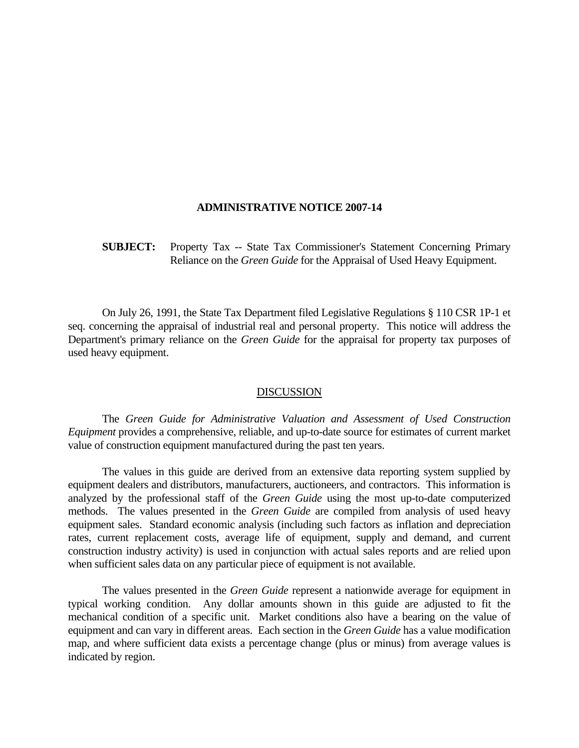## **ADMINISTRATIVE NOTICE 2007-14**

 **SUBJECT:** Property Tax -- State Tax Commissioner's Statement Concerning Primary Reliance on the *Green Guide* for the Appraisal of Used Heavy Equipment.

 On July 26, 1991, the State Tax Department filed Legislative Regulations § 110 CSR 1P-1 et seq. concerning the appraisal of industrial real and personal property. This notice will address the Department's primary reliance on the *Green Guide* for the appraisal for property tax purposes of used heavy equipment.

## DISCUSSION

 The *Green Guide for Administrative Valuation and Assessment of Used Construction Equipment* provides a comprehensive, reliable, and up-to-date source for estimates of current market value of construction equipment manufactured during the past ten years.

 The values in this guide are derived from an extensive data reporting system supplied by equipment dealers and distributors, manufacturers, auctioneers, and contractors. This information is analyzed by the professional staff of the *Green Guide* using the most up-to-date computerized methods. The values presented in the *Green Guide* are compiled from analysis of used heavy equipment sales. Standard economic analysis (including such factors as inflation and depreciation rates, current replacement costs, average life of equipment, supply and demand, and current construction industry activity) is used in conjunction with actual sales reports and are relied upon when sufficient sales data on any particular piece of equipment is not available.

 The values presented in the *Green Guide* represent a nationwide average for equipment in typical working condition. Any dollar amounts shown in this guide are adjusted to fit the mechanical condition of a specific unit. Market conditions also have a bearing on the value of equipment and can vary in different areas. Each section in the *Green Guide* has a value modification map, and where sufficient data exists a percentage change (plus or minus) from average values is indicated by region.